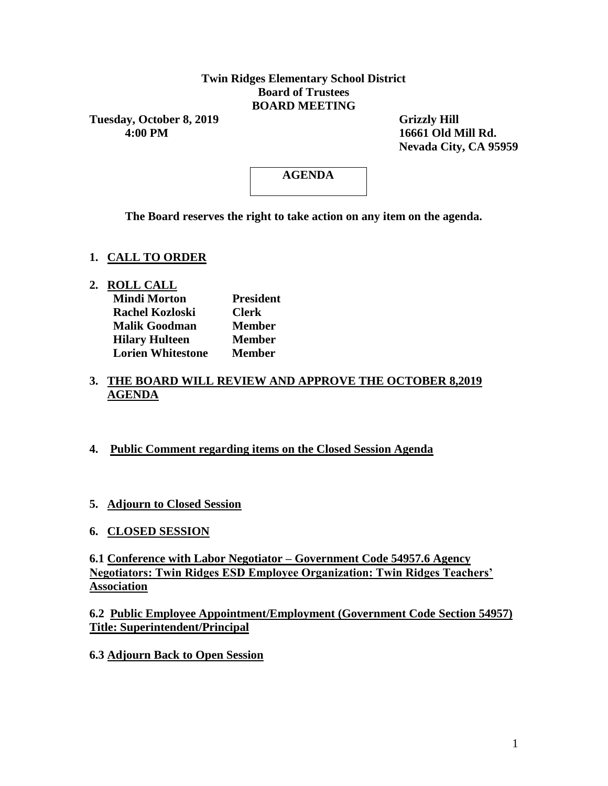### **Twin Ridges Elementary School District Board of Trustees BOARD MEETING**

**Tuesday, October 8, 2019 Grizzly Hill**<br>4:00 PM **16661 Old N** 

 **4:00 PM 16661 Old Mill Rd. Nevada City, CA 95959**

# **AGENDA**

**The Board reserves the right to take action on any item on the agenda.**

### **1. CALL TO ORDER**

**2. ROLL CALL**

| <b>Mindi Morton</b>      | <b>President</b> |
|--------------------------|------------------|
| <b>Rachel Kozloski</b>   | <b>Clerk</b>     |
| <b>Malik Goodman</b>     | <b>Member</b>    |
| <b>Hilary Hulteen</b>    | <b>Member</b>    |
| <b>Lorien Whitestone</b> | <b>Member</b>    |

#### **3. THE BOARD WILL REVIEW AND APPROVE THE OCTOBER 8,2019 AGENDA**

#### **4. Public Comment regarding items on the Closed Session Agenda**

- **5. Adjourn to Closed Session**
- **6. CLOSED SESSION**

**6.1 Conference with Labor Negotiator – Government Code 54957.6 Agency Negotiators: Twin Ridges ESD Employee Organization: Twin Ridges Teachers' Association**

**6.2 Public Employee Appointment/Employment (Government Code Section 54957) Title: Superintendent/Principal**

**6.3 Adjourn Back to Open Session**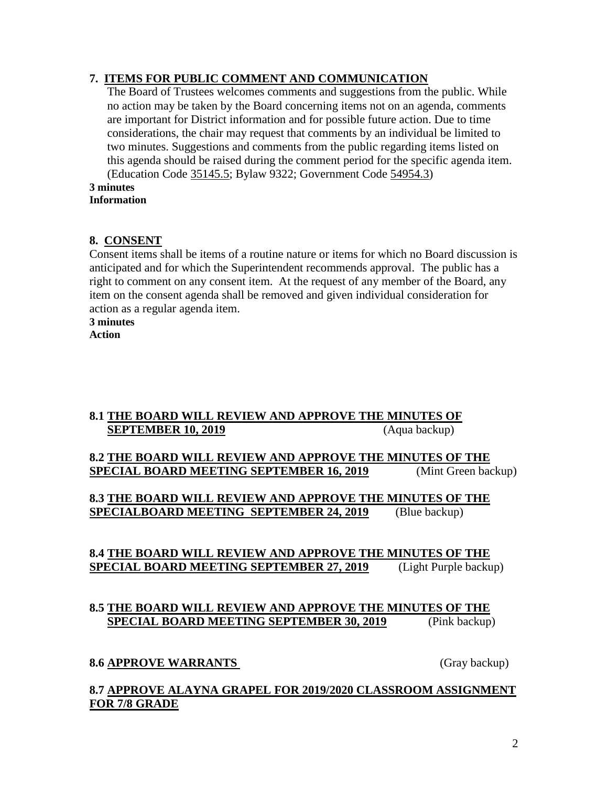### **7. ITEMS FOR PUBLIC COMMENT AND COMMUNICATION**

The Board of Trustees welcomes comments and suggestions from the public. While no action may be taken by the Board concerning items not on an agenda, comments are important for District information and for possible future action. Due to time considerations, the chair may request that comments by an individual be limited to two minutes. Suggestions and comments from the public regarding items listed on this agenda should be raised during the comment period for the specific agenda item. (Education Code 35145.5; Bylaw 9322; Government Code 54954.3)

#### **3 minutes Information**

### **8. CONSENT**

Consent items shall be items of a routine nature or items for which no Board discussion is anticipated and for which the Superintendent recommends approval. The public has a right to comment on any consent item. At the request of any member of the Board, any item on the consent agenda shall be removed and given individual consideration for action as a regular agenda item.

**3 minutes**

**Action**

### **8.1 THE BOARD WILL REVIEW AND APPROVE THE MINUTES OF SEPTEMBER 10, 2019** (Aqua backup)

### **8.2 THE BOARD WILL REVIEW AND APPROVE THE MINUTES OF THE SPECIAL BOARD MEETING SEPTEMBER 16, 2019** (Mint Green backup)

**8.3 THE BOARD WILL REVIEW AND APPROVE THE MINUTES OF THE SPECIALBOARD MEETING SEPTEMBER 24, 2019** (Blue backup)

### **8.4 THE BOARD WILL REVIEW AND APPROVE THE MINUTES OF THE SPECIAL BOARD MEETING SEPTEMBER 27, 2019** (Light Purple backup)

### **8.5 THE BOARD WILL REVIEW AND APPROVE THE MINUTES OF THE SPECIAL BOARD MEETING SEPTEMBER 30, 2019** (Pink backup)

### **8.6 APPROVE WARRANTS** (Gray backup)

### **8.7 APPROVE ALAYNA GRAPEL FOR 2019/2020 CLASSROOM ASSIGNMENT FOR 7/8 GRADE**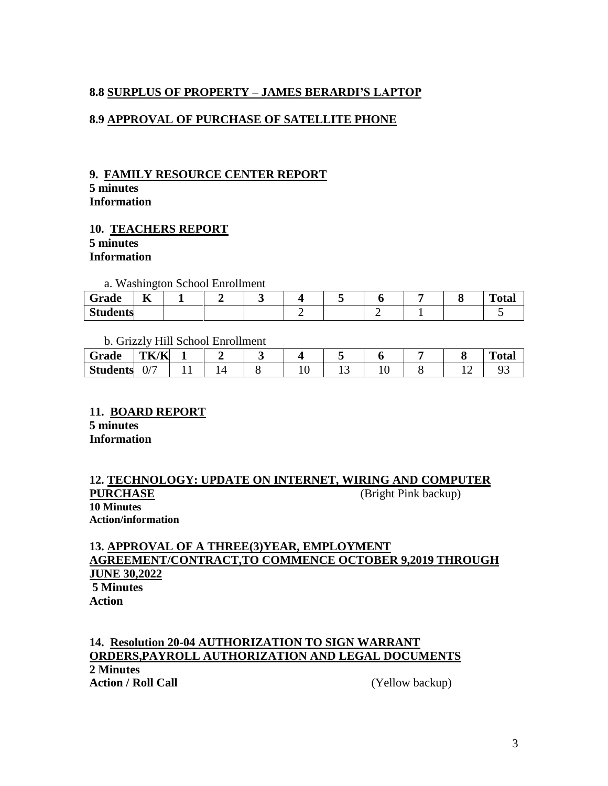## **8.8 SURPLUS OF PROPERTY – JAMES BERARDI'S LAPTOP**

### **8.9 APPROVAL OF PURCHASE OF SATELLITE PHONE**

#### **9. FAMILY RESOURCE CENTER REPORT 5 minutes**

**Information**

#### **10. TEACHERS REPORT 5 minutes Information**

a. Washington School Enrollment

| ∼<br>Grade      | --<br>ĸ<br>T7 |  |  |  |  | m.<br>otal |
|-----------------|---------------|--|--|--|--|------------|
| <b>Students</b> |               |  |  |  |  |            |

b. Grizzly Hill School Enrollment

| Grade           | TK/K                          |  |  |     |  | $\mathbf{r}$<br>''otar |
|-----------------|-------------------------------|--|--|-----|--|------------------------|
| <b>Students</b> | $\overline{\phantom{0}}$<br>∪ |  |  | ⊥ ~ |  |                        |

#### **11. BOARD REPORT 5 minutes Information**

### **12. TECHNOLOGY: UPDATE ON INTERNET, WIRING AND COMPUTER PURCHASE** (Bright Pink backup) **10 Minutes Action/information**

### **13. APPROVAL OF A THREE(3)YEAR, EMPLOYMENT AGREEMENT/CONTRACT,TO COMMENCE OCTOBER 9,2019 THROUGH JUNE 30,2022 5 Minutes Action**

#### **14. Resolution 20-04 AUTHORIZATION TO SIGN WARRANT ORDERS,PAYROLL AUTHORIZATION AND LEGAL DOCUMENTS 2 Minutes Action / Roll Call** (Yellow backup)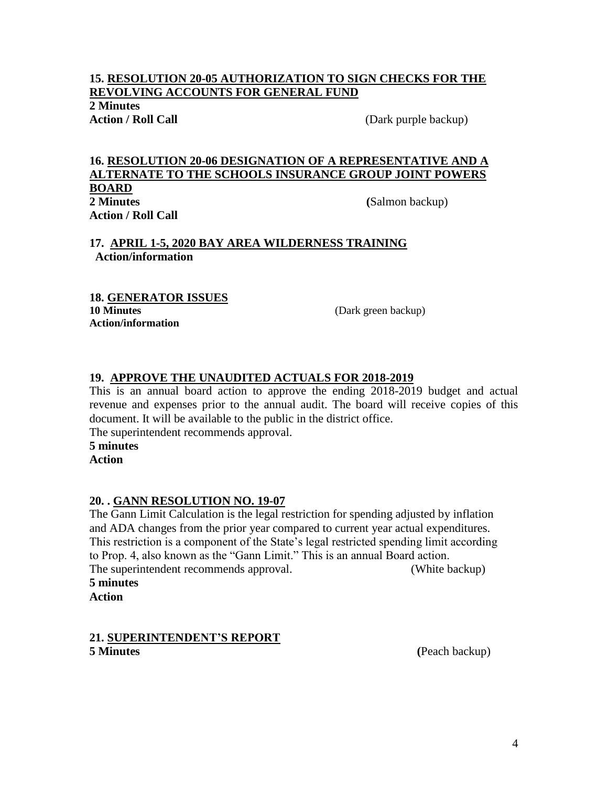### **15. RESOLUTION 20-05 AUTHORIZATION TO SIGN CHECKS FOR THE REVOLVING ACCOUNTS FOR GENERAL FUND**

**2 Minutes**

**Action / Roll Call Call Call Call Call Call Call Call Call Call Call Call Call Call Call Call Call Call Call Call Call Call Call Call Call Call Call Call Call Call** 

#### **16. RESOLUTION 20-06 DESIGNATION OF A REPRESENTATIVE AND A ALTERNATE TO THE SCHOOLS INSURANCE GROUP JOINT POWERS BOARD 2 Minutes (**Salmon backup) **Action / Roll Call**

### **17. APRIL 1-5, 2020 BAY AREA WILDERNESS TRAINING Action/information**

#### **18. GENERATOR ISSUES 10 Minutes** (Dark green backup) **Action/information**

### **19. APPROVE THE UNAUDITED ACTUALS FOR 2018-2019**

This is an annual board action to approve the ending 2018-2019 budget and actual revenue and expenses prior to the annual audit. The board will receive copies of this document. It will be available to the public in the district office.

The superintendent recommends approval.

**5 minutes Action**

#### **20. . GANN RESOLUTION NO. 19-07**

The Gann Limit Calculation is the legal restriction for spending adjusted by inflation and ADA changes from the prior year compared to current year actual expenditures. This restriction is a component of the State's legal restricted spending limit according to Prop. 4, also known as the "Gann Limit." This is an annual Board action. The superintendent recommends approval. (White backup)

#### **5 minutes**

**Action**

#### **21. SUPERINTENDENT'S REPORT 5 Minutes (**Peach backup)